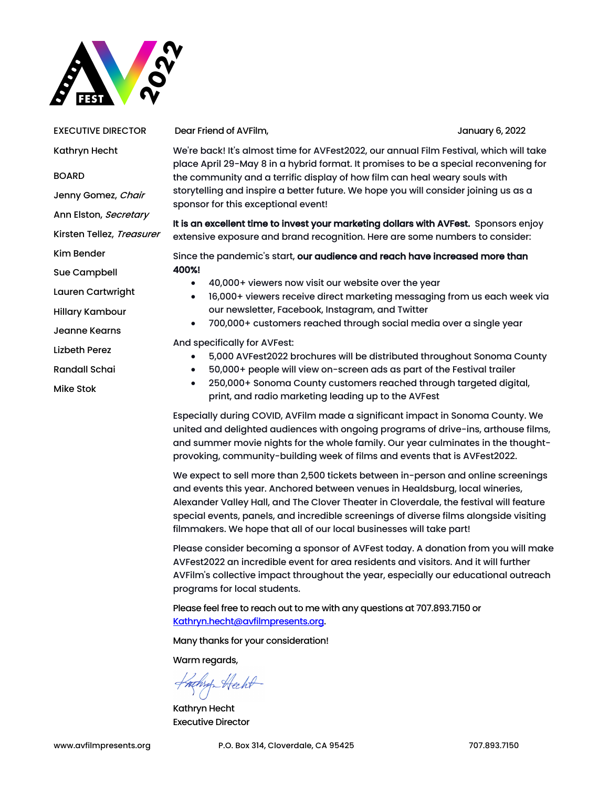

EXECUTIVE DIRECTOR Kathryn Hecht BOARD Jenny Gomez, Chair Ann Elston, Secretary Kirsten Tellez, Treasurer Kim Bender Sue Campbell Lauren Cartwright Hillary Kambour Jeanne Kearns Lizbeth Perez Randall Schai Mike Stok

Dear Friend of AVFilm, January 6, 2022

We're back! It's almost time for AVFest2022, our annual Film Festival, which will take place April 29-May 8 in a hybrid format. It promises to be a special reconvening for the community and a terrific display of how film can heal weary souls with storytelling and inspire a better future. We hope you will consider joining us as a sponsor for this exceptional event!

It is an excellent time to invest your marketing dollars with AVFest. Sponsors enjoy extensive exposure and brand recognition. Here are some numbers to consider:

Since the pandemic's start, our audience and reach have increased more than 400%!

- 40,000+ viewers now visit our website over the year
- 16,000+ viewers receive direct marketing messaging from us each week via our newsletter, Facebook, Instagram, and Twitter
- 700,000+ customers reached through social media over a single year

And specifically for AVFest:

- 5,000 AVFest2022 brochures will be distributed throughout Sonoma County
- 50,000+ people will view on-screen ads as part of the Festival trailer
- 250,000+ Sonoma County customers reached through targeted digital, print, and radio marketing leading up to the AVFest

Especially during COVID, AVFilm made a significant impact in Sonoma County. We united and delighted audiences with ongoing programs of drive-ins, arthouse films, and summer movie nights for the whole family. Our year culminates in the thoughtprovoking, community-building week of films and events that is AVFest2022.

We expect to sell more than 2,500 tickets between in-person and online screenings and events this year. Anchored between venues in Healdsburg, local wineries, Alexander Valley Hall, and The Clover Theater in Cloverdale, the festival will feature special events, panels, and incredible screenings of diverse films alongside visiting filmmakers. We hope that all of our local businesses will take part!

Please consider becoming a sponsor of AVFest today. A donation from you will make AVFest2022 an incredible event for area residents and visitors. And it will further AVFilm's collective impact throughout the year, especially our educational outreach programs for local students.

Please feel free to reach out to me with any questions at 707.893.7150 or Kathryn.hecht@avfilmpresents.org.

Many thanks for your consideration!

Warm regards,

Hathry Hecht

Kathryn Hecht Executive Director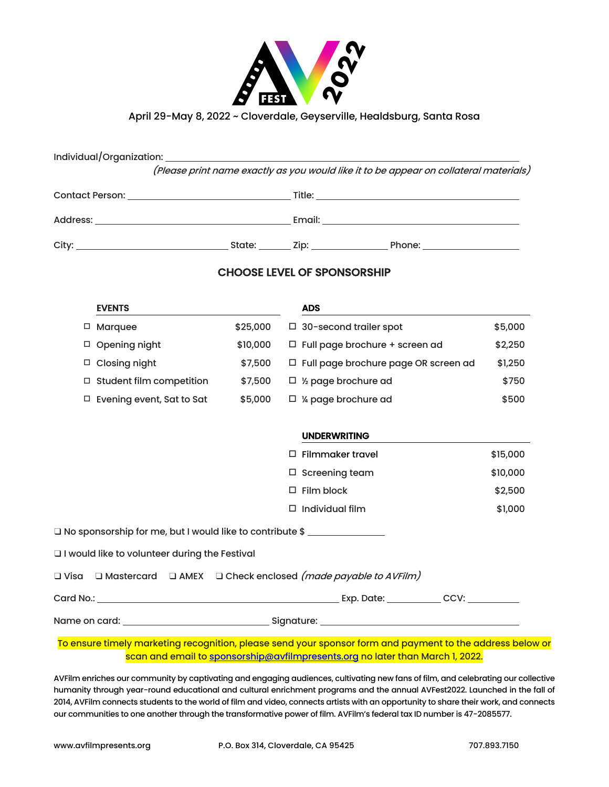

### April 29-May 8, 2022 ~ Cloverdale, Geyserville, Healdsburg, Santa Rosa

| (Please print name exactly as you would like it to be appear on collateral materials) |  |  |  |  |  |  |  |  |
|---------------------------------------------------------------------------------------|--|--|--|--|--|--|--|--|
|                                                                                       |  |  |  |  |  |  |  |  |
|                                                                                       |  |  |  |  |  |  |  |  |
|                                                                                       |  |  |  |  |  |  |  |  |

### CHOOSE LEVEL OF SPONSORSHIP

|        | <b>EVENTS</b>                                                                    |          |                             | <b>ADS</b>                                                                                                                                                                                                                                 |          |  |
|--------|----------------------------------------------------------------------------------|----------|-----------------------------|--------------------------------------------------------------------------------------------------------------------------------------------------------------------------------------------------------------------------------------------|----------|--|
| $\Box$ | Marquee                                                                          | \$25,000 |                             | $\Box$ 30-second trailer spot                                                                                                                                                                                                              | \$5,000  |  |
|        | □ Opening night                                                                  | \$10,000 |                             | $\Box$ Full page brochure + screen ad                                                                                                                                                                                                      | \$2,250  |  |
| $\Box$ | <b>Closing night</b>                                                             | \$7,500  |                             | □ Full page brochure page OR screen ad                                                                                                                                                                                                     | \$1,250  |  |
|        | $\Box$ Student film competition<br>\$7,500                                       |          | $\Box$ 1/2 page brochure ad |                                                                                                                                                                                                                                            | \$750    |  |
| $\Box$ | Evening event, Sat to Sat                                                        | \$5,000  |                             | $\Box$ % page brochure ad                                                                                                                                                                                                                  | \$500    |  |
|        |                                                                                  |          |                             |                                                                                                                                                                                                                                            |          |  |
|        | <b>UNDERWRITING</b>                                                              |          |                             |                                                                                                                                                                                                                                            |          |  |
|        |                                                                                  |          |                             | $\Box$ Filmmaker travel                                                                                                                                                                                                                    | \$15,000 |  |
|        |                                                                                  |          |                             | $\Box$ Screening team                                                                                                                                                                                                                      | \$10,000 |  |
|        |                                                                                  |          |                             | $\square$ Film block                                                                                                                                                                                                                       | \$2,500  |  |
|        |                                                                                  |          |                             | $\Box$ Individual film                                                                                                                                                                                                                     | \$1,000  |  |
|        | □ No sponsorship for me, but I would like to contribute \$ _____________________ |          |                             |                                                                                                                                                                                                                                            |          |  |
|        | I would like to volunteer during the Festival                                    |          |                             |                                                                                                                                                                                                                                            |          |  |
|        |                                                                                  |          |                             | □ Visa □ Mastercard □ AMEX □ Check enclosed <i>(made payable to AVFilm)</i>                                                                                                                                                                |          |  |
|        |                                                                                  |          |                             |                                                                                                                                                                                                                                            |          |  |
|        |                                                                                  |          |                             |                                                                                                                                                                                                                                            |          |  |
|        |                                                                                  |          |                             | $\tau$ , and an alternative interface of the second second contract of $\epsilon$ and an alternative of $\epsilon$ and the second second second second second second second second second second second second second second second second |          |  |

#### To ensure timely marketing recognition, please send your sponsor form and payment to the address below or scan and email to sponsorship@avfilmpresents.org no later than March 1, 2022.

AVFilm enriches our community by captivating and engaging audiences, cultivating new fans of film, and celebrating our collective humanity through year-round educational and cultural enrichment programs and the annual AVFest2022. Launched in the fall of 2014, AVFilm connects students to the world of film and video, connects artists with an opportunity to share their work, and connects our communities to one another through the transformative power of film. AVFilm's federal tax ID number is 47-2085577.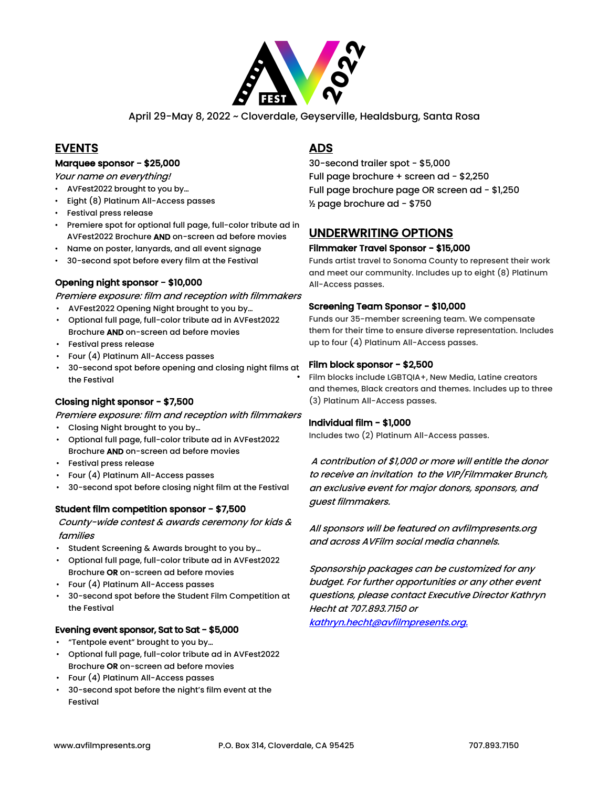

April 29-May 8, 2022 ~ Cloverdale, Geyserville, Healdsburg, Santa Rosa

## EVENTS

#### Marquee sponsor - \$25,000

Your name on everything!

- AVFest2022 brought to you by…
- Eight (8) Platinum All-Access passes
- Festival press release
- Premiere spot for optional full page, full-color tribute ad in AVFest2022 Brochure AND on-screen ad before movies
- Name on poster, lanyards, and all event signage
- 30-second spot before every film at the Festival

#### Opening night sponsor - \$10,000

Premiere exposure: film and reception with filmmakers

- AVFest2022 Opening Night brought to you by…
- Optional full page, full-color tribute ad in AVFest2022 Brochure AND on-screen ad before movies
- Festival press release
- Four (4) Platinum All-Access passes
- 30-second spot before opening and closing night films at the Festival

#### Closing night sponsor - \$7,500

Premiere exposure: film and reception with filmmakers

- Closing Night brought to you by…
- Optional full page, full-color tribute ad in AVFest2022 Brochure AND on-screen ad before movies
- Festival press release
- Four (4) Platinum All-Access passes
- 30-second spot before closing night film at the Festival

#### Student film competition sponsor - \$7,500

County-wide contest & awards ceremony for kids & families

- Student Screening & Awards brought to you by…
- Optional full page, full-color tribute ad in AVFest2022 Brochure OR on-screen ad before movies
- Four (4) Platinum All-Access passes
- 30-second spot before the Student Film Competition at the Festival

#### Evening event sponsor, Sat to Sat - \$5,000

- "Tentpole event" brought to you by…
- Optional full page, full-color tribute ad in AVFest2022 Brochure OR on-screen ad before movies
- Four (4) Platinum All-Access passes
- 30-second spot before the night's film event at the Festival

## ADS

30-second trailer spot - \$5,000 Full page brochure + screen ad - \$2,250 Full page brochure page OR screen ad - \$1,250 ½ page brochure ad - \$750

## UNDERWRITING OPTIONS

#### Filmmaker Travel Sponsor - \$15,000

Funds artist travel to Sonoma County to represent their work and meet our community. Includes up to eight (8) Platinum All-Access passes.

#### Screening Team Sponsor - \$10,000

Funds our 35-member screening team. We compensate them for their time to ensure diverse representation. Includes up to four (4) Platinum All-Access passes.

#### Film block sponsor - \$2,500

• Film blocks include LGBTQIA+, New Media, Latine creators and themes, Black creators and themes. Includes up to three (3) Platinum All-Access passes.

#### Individual film - \$1,000

Includes two (2) Platinum All-Access passes.

A contribution of \$1,000 or more will entitle the donor to receive an invitation to the VIP/Filmmaker Brunch, an exclusive event for major donors, sponsors, and guest filmmakers.

All sponsors will be featured on avfilmpresents.org and across AVFilm social media channels.

Sponsorship packages can be customized for any budget. For further opportunities or any other event questions, please contact Executive Director Kathryn Hecht at 707.893.7150 or kathryn.hecht@avfilmpresents.org.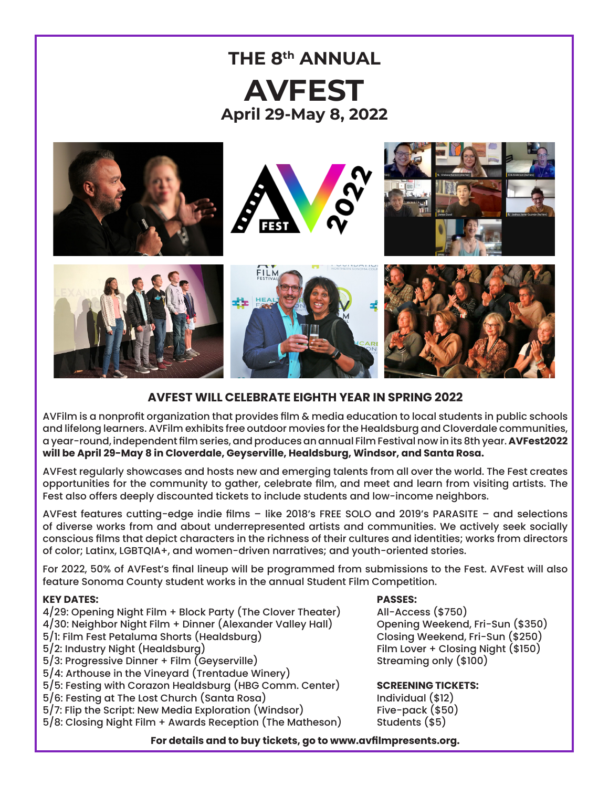

## **AVFEST WILL CELEBRATE EIGHTH YEAR IN SPRING 2022**

AVFilm is a nonprofit organization that provides film & media education to local students in public schools and lifelong learners. AVFilm exhibits free outdoor movies for the Healdsburg and Cloverdale communities, a year-round, independent film series, and produces an annual Film Festival now in its 8th year. **AVFest2022 will be April 29-May 8 in Cloverdale, Geyserville, Healdsburg, Windsor, and Santa Rosa.**

AVFest regularly showcases and hosts new and emerging talents from all over the world. The Fest creates opportunities for the community to gather, celebrate film, and meet and learn from visiting artists. The Fest also offers deeply discounted tickets to include students and low-income neighbors.

AVFest features cutting-edge indie films – like 2018's FREE SOLO and 2019's PARASITE – and selections of diverse works from and about underrepresented artists and communities. We actively seek socially conscious films that depict characters in the richness of their cultures and identities; works from directors of color; Latinx, LGBTQIA+, and women-driven narratives; and youth-oriented stories.

For 2022, 50% of AVFest's final lineup will be programmed from submissions to the Fest. AVFest will also feature Sonoma County student works in the annual Student Film Competition.

### **KEY DATES: PASSES:**

- 4/29: Opening Night Film + Block Party (The Clover Theater) All-Access (\$750) 4/30: Neighbor Night Film + Dinner (Alexander Valley Hall) Opening Weekend, Fri-Sun (\$350)<br>5/1: Film Fest Petaluma Shorts (Healdsburg) Closing Weekend, Fri-Sun (\$250) 5/1: Film Fest Petaluma Shorts (Healdsburg)<br>5/2: Industry Night (Healdsburg)  $5/3$ : Progressive Dinner + Film (Geyserville) 5/4: Arthouse in the Vineyard (Trentadue Winery) 5/5: Festing with Corazon Healdsburg (HBG Comm. Center) **SCREENING TICKETS:**
- 5/6: Festing at The Lost Church (Santa Rosa) Individual (\$12)
- 5/7: Flip the Script: New Media Exploration (Windsor) Five-pack (\$5<br>5/8: Closing Night Film + Awards Reception (The Matheson) Students (\$5)  $5/8$ : Closing Night Film + Awards Reception (The Matheson)

Film Lover + Closing Night (\$150)<br>Streaming only (\$100)

## **For details and to buy tickets, go to www.avfilmpresents.org.**